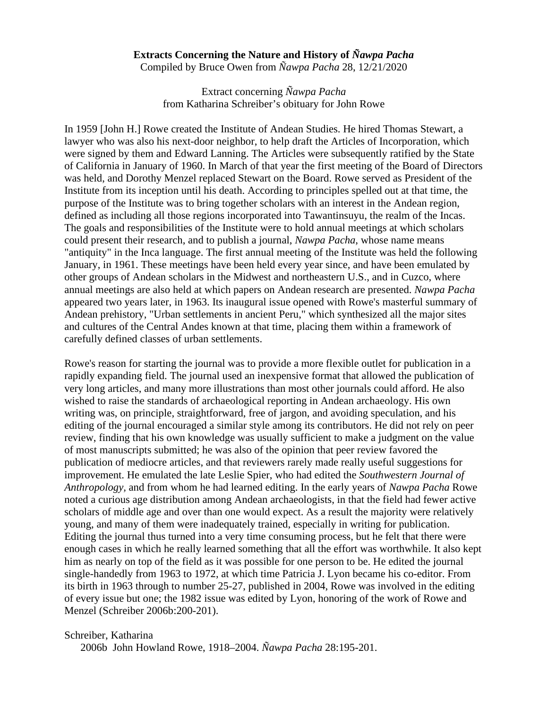# **Extracts Concerning the Nature and History of** *Ñawpa Pacha*

Compiled by Bruce Owen from *Ñawpa Pacha* 28, 12/21/2020

Extract concerning *Ñawpa Pacha* from Katharina Schreiber's obituary for John Rowe

In 1959 [John H.] Rowe created the Institute of Andean Studies. He hired Thomas Stewart, a lawyer who was also his next-door neighbor, to help draft the Articles of Incorporation, which were signed by them and Edward Lanning. The Articles were subsequently ratified by the State of California in January of 1960. In March of that year the first meeting of the Board of Directors was held, and Dorothy Menzel replaced Stewart on the Board. Rowe served as President of the Institute from its inception until his death. According to principles spelled out at that time, the purpose of the Institute was to bring together scholars with an interest in the Andean region, defined as including all those regions incorporated into Tawantinsuyu, the realm of the Incas. The goals and responsibilities of the Institute were to hold annual meetings at which scholars could present their research, and to publish a journal, *Nawpa Pacha*, whose name means "antiquity" in the Inca language. The first annual meeting of the Institute was held the following January, in 1961. These meetings have been held every year since, and have been emulated by other groups of Andean scholars in the Midwest and northeastern U.S., and in Cuzco, where annual meetings are also held at which papers on Andean research are presented. *Nawpa Pacha*  appeared two years later, in 1963. Its inaugural issue opened with Rowe's masterful summary of Andean prehistory, "Urban settlements in ancient Peru," which synthesized all the major sites and cultures of the Central Andes known at that time, placing them within a framework of carefully defined classes of urban settlements.

Rowe's reason for starting the journal was to provide a more flexible outlet for publication in a rapidly expanding field. The journal used an inexpensive format that allowed the publication of very long articles, and many more illustrations than most other journals could afford. He also wished to raise the standards of archaeological reporting in Andean archaeology. His own writing was, on principle, straightforward, free of jargon, and avoiding speculation, and his editing of the journal encouraged a similar style among its contributors. He did not rely on peer review, finding that his own knowledge was usually sufficient to make a judgment on the value of most manuscripts submitted; he was also of the opinion that peer review favored the publication of mediocre articles, and that reviewers rarely made really useful suggestions for improvement. He emulated the late Leslie Spier, who had edited the *Southwestern Journal of Anthropology,* and from whom he had learned editing. In the early years of *Nawpa Pacha* Rowe noted a curious age distribution among Andean archaeologists, in that the field had fewer active scholars of middle age and over than one would expect. As a result the majority were relatively young, and many of them were inadequately trained, especially in writing for publication. Editing the journal thus turned into a very time consuming process, but he felt that there were enough cases in which he really learned something that all the effort was worthwhile. It also kept him as nearly on top of the field as it was possible for one person to be. He edited the journal single-handedly from 1963 to 1972, at which time Patricia J. Lyon became his co-editor. From its birth in 1963 through to number 25-27, published in 2004, Rowe was involved in the editing of every issue but one; the 1982 issue was edited by Lyon, honoring of the work of Rowe and Menzel (Schreiber 2006b:200-201).

Schreiber, Katharina

2006b John Howland Rowe, 1918–2004. *Ñawpa Pacha* 28:195-201.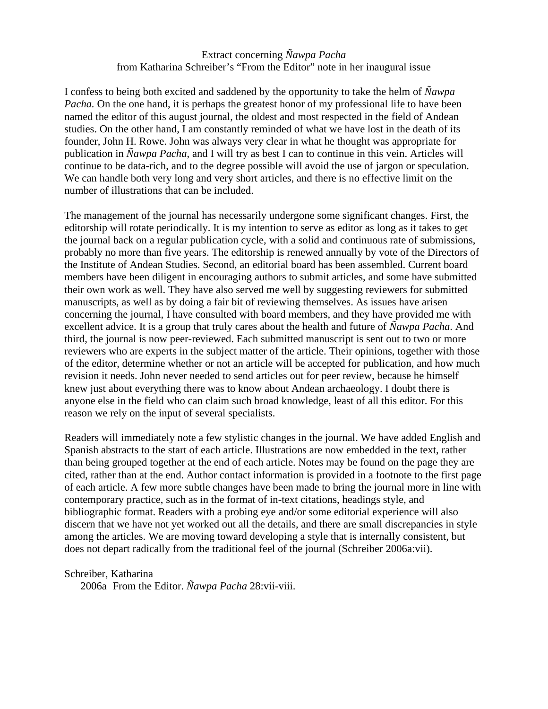# Extract concerning *Ñawpa Pacha* from Katharina Schreiber's "From the Editor" note in her inaugural issue

I confess to being both excited and saddened by the opportunity to take the helm of *Ñawpa Pacha*. On the one hand, it is perhaps the greatest honor of my professional life to have been named the editor of this august journal, the oldest and most respected in the field of Andean studies. On the other hand, I am constantly reminded of what we have lost in the death of its founder, John H. Rowe. John was always very clear in what he thought was appropriate for publication in *Ñawpa Pacha*, and I will try as best I can to continue in this vein. Articles will continue to be data-rich, and to the degree possible will avoid the use of jargon or speculation. We can handle both very long and very short articles, and there is no effective limit on the number of illustrations that can be included.

The management of the journal has necessarily undergone some significant changes. First, the editorship will rotate periodically. It is my intention to serve as editor as long as it takes to get the journal back on a regular publication cycle, with a solid and continuous rate of submissions, probably no more than five years. The editorship is renewed annually by vote of the Directors of the Institute of Andean Studies. Second, an editorial board has been assembled. Current board members have been diligent in encouraging authors to submit articles, and some have submitted their own work as well. They have also served me well by suggesting reviewers for submitted manuscripts, as well as by doing a fair bit of reviewing themselves. As issues have arisen concerning the journal, I have consulted with board members, and they have provided me with excellent advice. It is a group that truly cares about the health and future of *Ñawpa Pacha*. And third, the journal is now peer-reviewed. Each submitted manuscript is sent out to two or more reviewers who are experts in the subject matter of the article. Their opinions, together with those of the editor, determine whether or not an article will be accepted for publication, and how much revision it needs. John never needed to send articles out for peer review, because he himself knew just about everything there was to know about Andean archaeology. I doubt there is anyone else in the field who can claim such broad knowledge, least of all this editor. For this reason we rely on the input of several specialists.

Readers will immediately note a few stylistic changes in the journal. We have added English and Spanish abstracts to the start of each article. Illustrations are now embedded in the text, rather than being grouped together at the end of each article. Notes may be found on the page they are cited, rather than at the end. Author contact information is provided in a footnote to the first page of each article. A few more subtle changes have been made to bring the journal more in line with contemporary practice, such as in the format of in-text citations, headings style, and bibliographic format. Readers with a probing eye and/or some editorial experience will also discern that we have not yet worked out all the details, and there are small discrepancies in style among the articles. We are moving toward developing a style that is internally consistent, but does not depart radically from the traditional feel of the journal (Schreiber 2006a:vii).

#### Schreiber, Katharina

2006a From the Editor. *Ñawpa Pacha* 28:vii-viii.